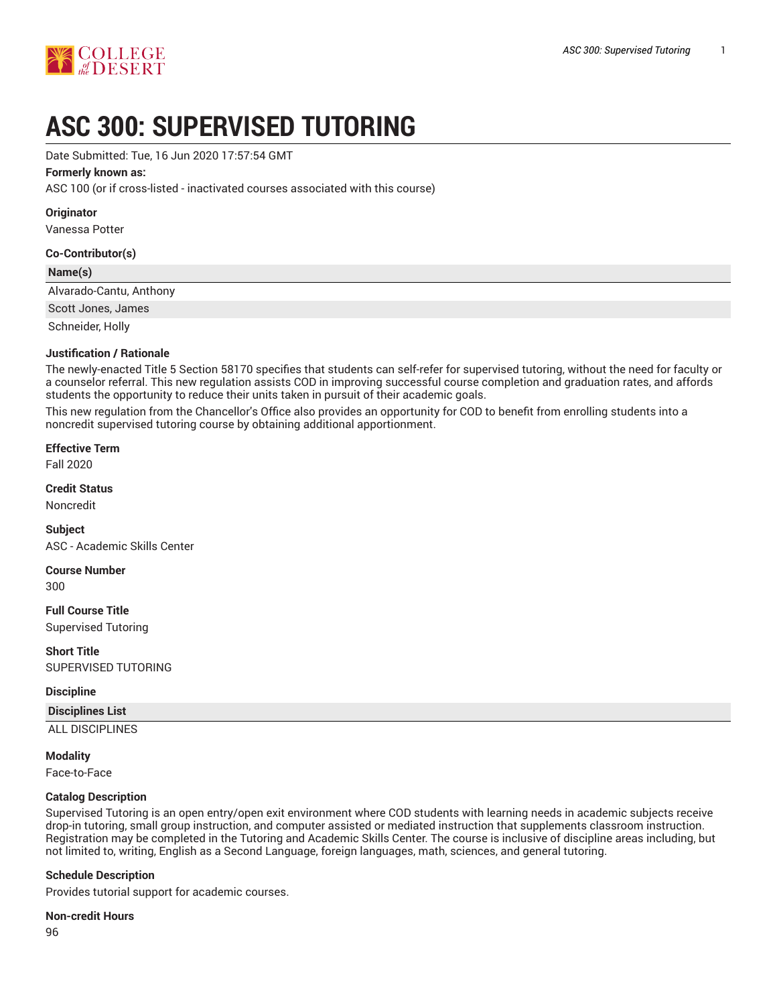

# **ASC 300: SUPERVISED TUTORING**

Date Submitted: Tue, 16 Jun 2020 17:57:54 GMT

#### **Formerly known as:**

ASC 100 (or if cross-listed - inactivated courses associated with this course)

**Originator**

Vanessa Potter

#### **Co-Contributor(s)**

#### **Name(s)**

Alvarado-Cantu, Anthony

Scott Jones, James

Schneider, Holly

#### **Justification / Rationale**

The newly-enacted Title 5 Section 58170 specifies that students can self-refer for supervised tutoring, without the need for faculty or a counselor referral. This new regulation assists COD in improving successful course completion and graduation rates, and affords students the opportunity to reduce their units taken in pursuit of their academic goals.

This new regulation from the Chancellor's Office also provides an opportunity for COD to benefit from enrolling students into a noncredit supervised tutoring course by obtaining additional apportionment.

#### **Effective Term**

Fall 2020

**Credit Status**

Noncredit

**Subject** ASC - Academic Skills Center

# **Course Number**

300

**Full Course Title** Supervised Tutoring

**Short Title** SUPERVISED TUTORING

#### **Discipline**

#### **Disciplines List**

ALL DISCIPLINES

#### **Modality**

Face-to-Face

#### **Catalog Description**

Supervised Tutoring is an open entry/open exit environment where COD students with learning needs in academic subjects receive drop-in tutoring, small group instruction, and computer assisted or mediated instruction that supplements classroom instruction. Registration may be completed in the Tutoring and Academic Skills Center. The course is inclusive of discipline areas including, but not limited to, writing, English as a Second Language, foreign languages, math, sciences, and general tutoring.

#### **Schedule Description**

Provides tutorial support for academic courses.

#### **Non-credit Hours**

96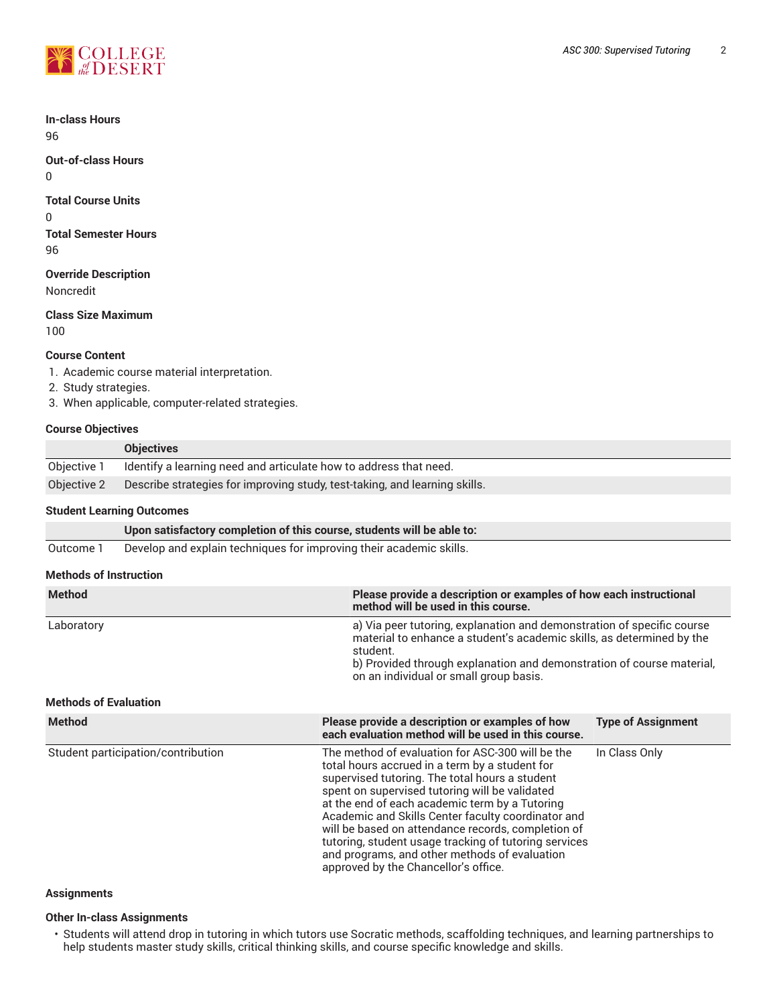

**In-class Hours** 96

**Out-of-class Hours** 0

**Total Course Units**

0 **Total Semester Hours** 96

**Override Description**

Noncredit

**Class Size Maximum**

100

## **Course Content**

- 1. Academic course material interpretation.
- 2. Study strategies.
- 3. When applicable, computer-related strategies.

## **Course Objectives**

|             | <b>Objectives</b>                                                          |
|-------------|----------------------------------------------------------------------------|
| Obiective 1 | Identify a learning need and articulate how to address that need.          |
| Objective 2 | Describe strategies for improving study, test-taking, and learning skills. |

# **Student Learning Outcomes**

|                               | Upon satisfactory completion of this course, students will be able to: |                                                                                                                                                                                                                                                                                |                           |  |  |
|-------------------------------|------------------------------------------------------------------------|--------------------------------------------------------------------------------------------------------------------------------------------------------------------------------------------------------------------------------------------------------------------------------|---------------------------|--|--|
| Outcome 1                     | Develop and explain techniques for improving their academic skills.    |                                                                                                                                                                                                                                                                                |                           |  |  |
| <b>Methods of Instruction</b> |                                                                        |                                                                                                                                                                                                                                                                                |                           |  |  |
| <b>Method</b>                 |                                                                        | Please provide a description or examples of how each instructional<br>method will be used in this course.                                                                                                                                                                      |                           |  |  |
| Laboratory                    |                                                                        | a) Via peer tutoring, explanation and demonstration of specific course<br>material to enhance a student's academic skills, as determined by the<br>student.<br>b) Provided through explanation and demonstration of course material,<br>on an individual or small group basis. |                           |  |  |
| <b>Methods of Evaluation</b>  |                                                                        |                                                                                                                                                                                                                                                                                |                           |  |  |
| <b>Method</b>                 |                                                                        | Please provide a description or examples of how                                                                                                                                                                                                                                | <b>Type of Assignment</b> |  |  |

|                                    | each evaluation method will be used in this course.                                                                                                                                                                                                                                                                                                                                                                                                                                                                    |               |
|------------------------------------|------------------------------------------------------------------------------------------------------------------------------------------------------------------------------------------------------------------------------------------------------------------------------------------------------------------------------------------------------------------------------------------------------------------------------------------------------------------------------------------------------------------------|---------------|
| Student participation/contribution | The method of evaluation for ASC-300 will be the<br>total hours accrued in a term by a student for<br>supervised tutoring. The total hours a student<br>spent on supervised tutoring will be validated<br>at the end of each academic term by a Tutoring<br>Academic and Skills Center faculty coordinator and<br>will be based on attendance records, completion of<br>tutoring, student usage tracking of tutoring services<br>and programs, and other methods of evaluation<br>approved by the Chancellor's office. | In Class Only |

## **Assignments**

#### **Other In-class Assignments**

• Students will attend drop in tutoring in which tutors use Socratic methods, scaffolding techniques, and learning partnerships to help students master study skills, critical thinking skills, and course specific knowledge and skills.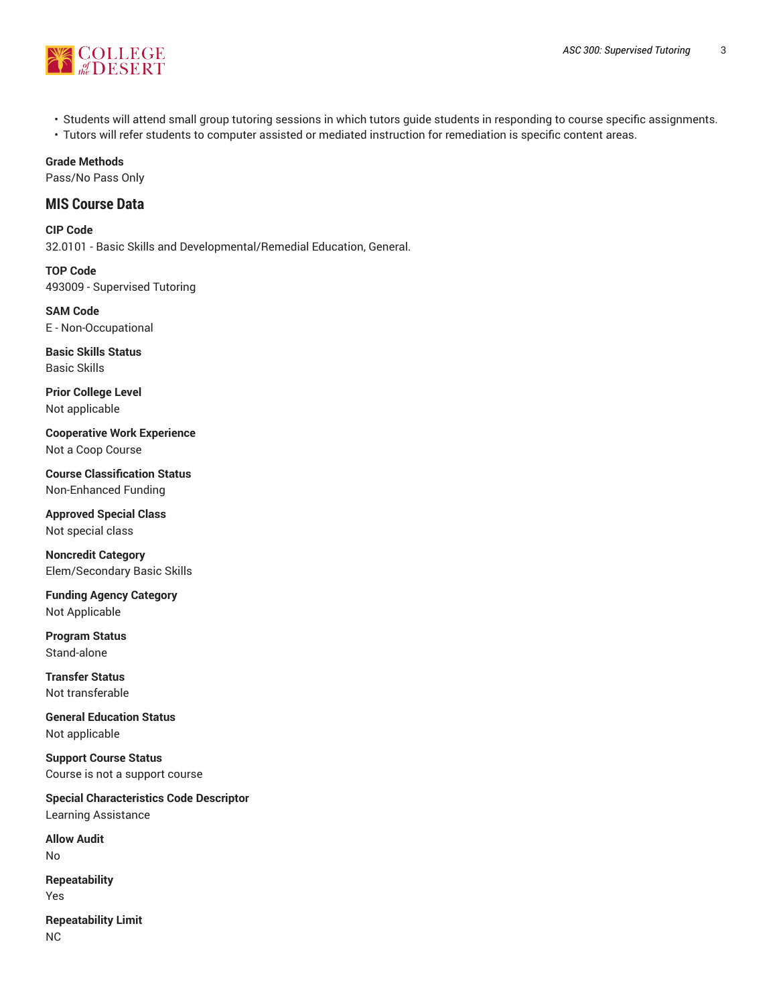

- Students will attend small group tutoring sessions in which tutors guide students in responding to course specific assignments.
- Tutors will refer students to computer assisted or mediated instruction for remediation is specific content areas.

# **Grade Methods**

Pass/No Pass Only

# **MIS Course Data**

**CIP Code** 32.0101 - Basic Skills and Developmental/Remedial Education, General.

**TOP Code** 493009 - Supervised Tutoring

**SAM Code** E - Non-Occupational

**Basic Skills Status** Basic Skills

**Prior College Level** Not applicable

**Cooperative Work Experience** Not a Coop Course

**Course Classification Status** Non-Enhanced Funding

**Approved Special Class** Not special class

**Noncredit Category** Elem/Secondary Basic Skills

**Funding Agency Category** Not Applicable

**Program Status** Stand-alone

**Transfer Status** Not transferable

**General Education Status** Not applicable

**Support Course Status** Course is not a support course

**Special Characteristics Code Descriptor** Learning Assistance

**Allow Audit** No

**Repeatability** Yes

**Repeatability Limit** NC